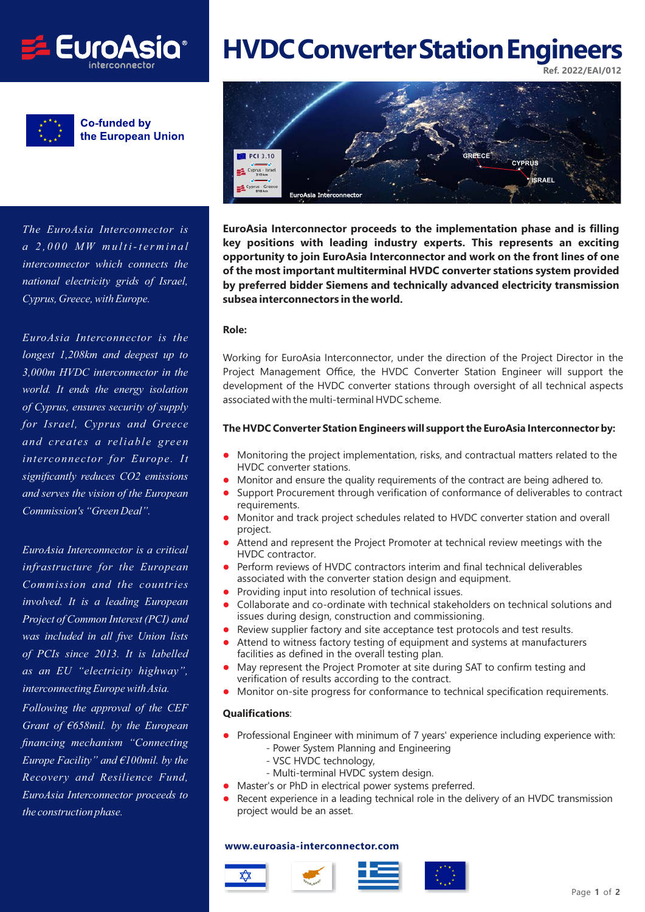



**Co-funded by** the European Union

*The EuroAsia Interconnector is a 2,000 MW multi-terminal interconnector which connects the national electricity grids of Israel, Cyprus, Greece, with Europe.*

*EuroAsia Interconnector is the longest 1,208km and deepest up to 3,000m HVDC interconnector in the world. It ends the energy isolation of Cyprus, ensures security of supply for Israel, Cyprus and Greece and creates a reliable green interconnector for Europe. It significantly reduces CO2 emissions and serves the vision of the European Commission's "Green Deal".*

*EuroAsia Interconnector is a critical infrastructure for the European Commission and the countries involved. It is a leading European Project of Common Interest (PCI) and was included in all five Union lists of PCIs since 2013. It is labelled as an EU "electricity highway", interconnecting Europe with Asia.*

*Following the approval of the CEF Grant of €658mil. by the European financing mechanism "Connecting Europe Facility" and €100mil. by the Recovery and Resilience Fund, EuroAsia Interconnector proceeds to the construction phase.*

# **HVDCConverterStationEngineers**

**Ref. 2022/EAI/012**



**EuroAsia Interconnector proceeds to the implementation phase and is filling key positions with leading industry experts. This represents an exciting opportunity to join EuroAsia Interconnector and work on the front lines of one of the most important multiterminal HVDC converter stations system provided by preferred bidder Siemens and technically advanced electricity transmission subsea interconnectors in the world.**

## **Role:**

Working for EuroAsia Interconnector, under the direction of the Project Director in the Project Management Office, the HVDC Converter Station Engineer will support the development of the HVDC converter stations through oversight of all technical aspects associated with the multi-terminal HVDC scheme.

#### **The HVDC Converter Station Engineers will support the EuroAsia Interconnector by:**

- $\bullet$  Monitoring the project implementation, risks, and contractual matters related to the HVDC converter stations.
- $\bullet$ Monitor and ensure the quality requirements of the contract are being adhered to.
- $\bullet$  Support Procurement through verification of conformance of deliverables to contract requirements.
- $\bullet$  Monitor and track project schedules related to HVDC converter station and overall project.
- $\bullet$  Attend and represent the Project Promoter at technical review meetings with the HVDC contractor.
- $\bullet$  Perform reviews of HVDC contractors interim and final technical deliverables associated with the converter station design and equipment.
- $\bullet$ Providing input into resolution of technical issues.
- $\bullet$  Collaborate and co-ordinate with technical stakeholders on technical solutions and issues during design, construction and commissioning.
- $\bullet$ Review supplier factory and site acceptance test protocols and test results.
- $\bullet$  Attend to witness factory testing of equipment and systems at manufacturers facilities as defined in the overall testing plan.
- $\bullet$  May represent the Project Promoter at site during SAT to confirm testing and verification of results according to the contract.
- $\bullet$ Monitor on-site progress for conformance to technical specification requirements.

#### **Qualifications**:

- Professional Engineer with minimum of 7 years' experience including experience with:
	- Power System Planning and Engineering
	- VSC HVDC technology,
	- Multi-terminal HVDC system design.
- $\bullet$ Master's or PhD in electrical power systems preferred.
- $\bullet$  Recent experience in a leading technical role in the delivery of an HVDC transmission project would be an asset.

## **www.euroasia-interconnector.com**